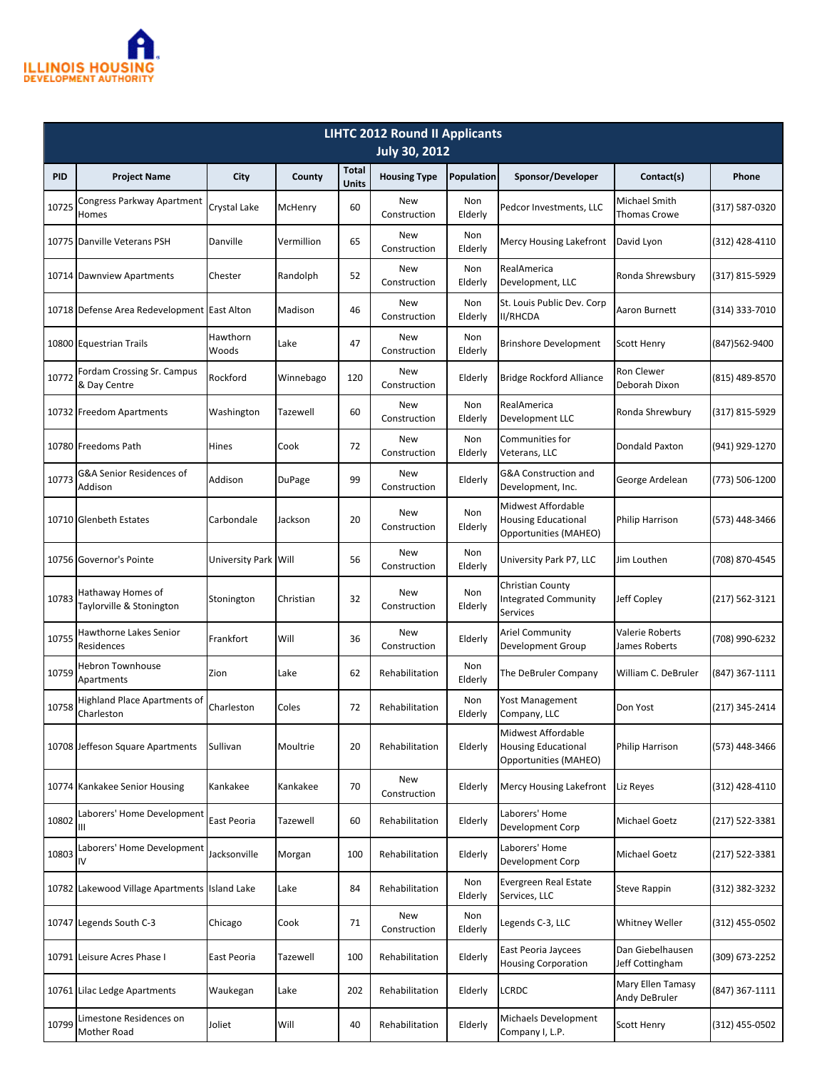

| <b>LIHTC 2012 Round II Applicants</b> |                                                   |                      |            |                       |                            |                |                                                                           |                                      |                    |  |
|---------------------------------------|---------------------------------------------------|----------------------|------------|-----------------------|----------------------------|----------------|---------------------------------------------------------------------------|--------------------------------------|--------------------|--|
| <b>July 30, 2012</b>                  |                                                   |                      |            |                       |                            |                |                                                                           |                                      |                    |  |
| <b>PID</b>                            | <b>Project Name</b>                               | City                 | County     | <b>Total</b><br>Units | <b>Housing Type</b>        | Population     | Sponsor/Developer                                                         | Contact(s)                           | Phone              |  |
| 10725                                 | Congress Parkway Apartment<br>Homes               | <b>Crystal Lake</b>  | McHenry    | 60                    | <b>New</b><br>Construction | Non<br>Elderly | Pedcor Investments, LLC                                                   | Michael Smith<br><b>Thomas Crowe</b> | (317) 587-0320     |  |
|                                       | 10775 Danville Veterans PSH                       | Danville             | Vermillion | 65                    | <b>New</b><br>Construction | Non<br>Elderly | Mercy Housing Lakefront                                                   | David Lyon                           | (312) 428-4110     |  |
|                                       | 10714 Dawnview Apartments                         | Chester              | Randolph   | 52                    | New<br>Construction        | Non<br>Elderly | RealAmerica<br>Development, LLC                                           | Ronda Shrewsbury                     | (317) 815-5929     |  |
|                                       | 10718 Defense Area Redevelopment East Alton       |                      | Madison    | 46                    | <b>New</b><br>Construction | Non<br>Elderly | St. Louis Public Dev. Corp<br><b>II/RHCDA</b>                             | Aaron Burnett                        | $(314)$ 333-7010   |  |
|                                       | 10800 Equestrian Trails                           | Hawthorn<br>Woods    | Lake       | 47                    | <b>New</b><br>Construction | Non<br>Elderly | <b>Brinshore Development</b>                                              | <b>Scott Henry</b>                   | (847) 562-9400     |  |
| 10772                                 | Fordam Crossing Sr. Campus<br>& Day Centre        | Rockford             | Winnebago  | 120                   | <b>New</b><br>Construction | Elderly        | <b>Bridge Rockford Alliance</b>                                           | Ron Clewer<br>Deborah Dixon          | (815) 489-8570     |  |
|                                       | 10732 Freedom Apartments                          | Washington           | Tazewell   | 60                    | <b>New</b><br>Construction | Non<br>Elderly | RealAmerica<br>Development LLC                                            | Ronda Shrewbury                      | (317) 815-5929     |  |
|                                       | 10780 Freedoms Path                               | Hines                | Cook       | 72                    | New<br>Construction        | Non<br>Elderly | Communities for<br>Veterans, LLC                                          | Dondald Paxton                       | (941) 929-1270     |  |
| 10773                                 | G&A Senior Residences of<br>Addison               | Addison              | DuPage     | 99                    | <b>New</b><br>Construction | Elderly        | G&A Construction and<br>Development, Inc.                                 | George Ardelean                      | (773) 506-1200     |  |
|                                       | 10710 Glenbeth Estates                            | Carbondale           | Jackson    | 20                    | <b>New</b><br>Construction | Non<br>Elderly | Midwest Affordable<br><b>Housing Educational</b><br>Opportunities (MAHEO) | Philip Harrison                      | (573) 448-3466     |  |
|                                       | 10756 Governor's Pointe                           | University Park Will |            | 56                    | New<br>Construction        | Non<br>Elderly | University Park P7, LLC                                                   | Jim Louthen                          | (708) 870-4545     |  |
| 10783                                 | Hathaway Homes of<br>Taylorville & Stonington     | Stonington           | Christian  | 32                    | <b>New</b><br>Construction | Non<br>Elderly | <b>Christian County</b><br><b>Integrated Community</b><br><b>Services</b> | Jeff Copley                          | $(217) 562 - 3121$ |  |
| 10755                                 | Hawthorne Lakes Senior<br>Residences              | Frankfort            | Will       | 36                    | <b>New</b><br>Construction | Elderly        | Ariel Community<br>Development Group                                      | Valerie Roberts<br>James Roberts     | (708) 990-6232     |  |
| 10759                                 | Hebron Townhouse<br>Apartments                    | Zion                 | Lake       | 62                    | Rehabilitation             | Non<br>Elderly | The DeBruler Company                                                      | William C. DeBruler                  | (847) 367-1111     |  |
| 10758                                 | <b>Highland Place Apartments of</b><br>Charleston | Charleston           | Coles      | 72                    | Rehabilitation             | Non<br>Elderly | Yost Management<br>Company, LLC                                           | Don Yost                             | (217) 345-2414     |  |
|                                       | 10708 Jeffeson Square Apartments                  | Sullivan             | Moultrie   | 20                    | Rehabilitation             | Elderly        | Midwest Affordable<br><b>Housing Educational</b><br>Opportunities (MAHEO) | Philip Harrison                      | (573) 448-3466     |  |
|                                       | 10774 Kankakee Senior Housing                     | Kankakee             | Kankakee   | 70                    | New<br>Construction        | Elderly        | Mercy Housing Lakefront                                                   | Liz Reyes                            | (312) 428-4110     |  |
| 10802                                 | Laborers' Home Development<br>Ш                   | East Peoria          | Tazewell   | 60                    | Rehabilitation             | Elderly        | Laborers' Home<br>Development Corp                                        | Michael Goetz                        | (217) 522-3381     |  |
| 10803                                 | Laborers' Home Development<br>I۷                  | Jacksonville         | Morgan     | 100                   | Rehabilitation             | Elderly        | Laborers' Home<br>Development Corp                                        | Michael Goetz                        | $(217) 522 - 3381$ |  |
|                                       | 10782 Lakewood Village Apartments Island Lake     |                      | Lake       | 84                    | Rehabilitation             | Non<br>Elderly | Evergreen Real Estate<br>Services, LLC                                    | <b>Steve Rappin</b>                  | (312) 382-3232     |  |
|                                       | 10747 Legends South C-3                           | Chicago              | Cook       | 71                    | New<br>Construction        | Non<br>Elderly | Legends C-3, LLC                                                          | Whitney Weller                       | (312) 455-0502     |  |
|                                       | 10791 Leisure Acres Phase I                       | East Peoria          | Tazewell   | 100                   | Rehabilitation             | Elderly        | East Peoria Jaycees<br><b>Housing Corporation</b>                         | Dan Giebelhausen<br>Jeff Cottingham  | (309) 673-2252     |  |
|                                       | 10761 Lilac Ledge Apartments                      | Waukegan             | Lake       | 202                   | Rehabilitation             | Elderly        | LCRDC                                                                     | Mary Ellen Tamasy<br>Andy DeBruler   | (847) 367-1111     |  |
| 10799                                 | Limestone Residences on<br>Mother Road            | Joliet               | Will       | 40                    | Rehabilitation             | Elderly        | Michaels Development<br>Company I, L.P.                                   | Scott Henry                          | (312) 455-0502     |  |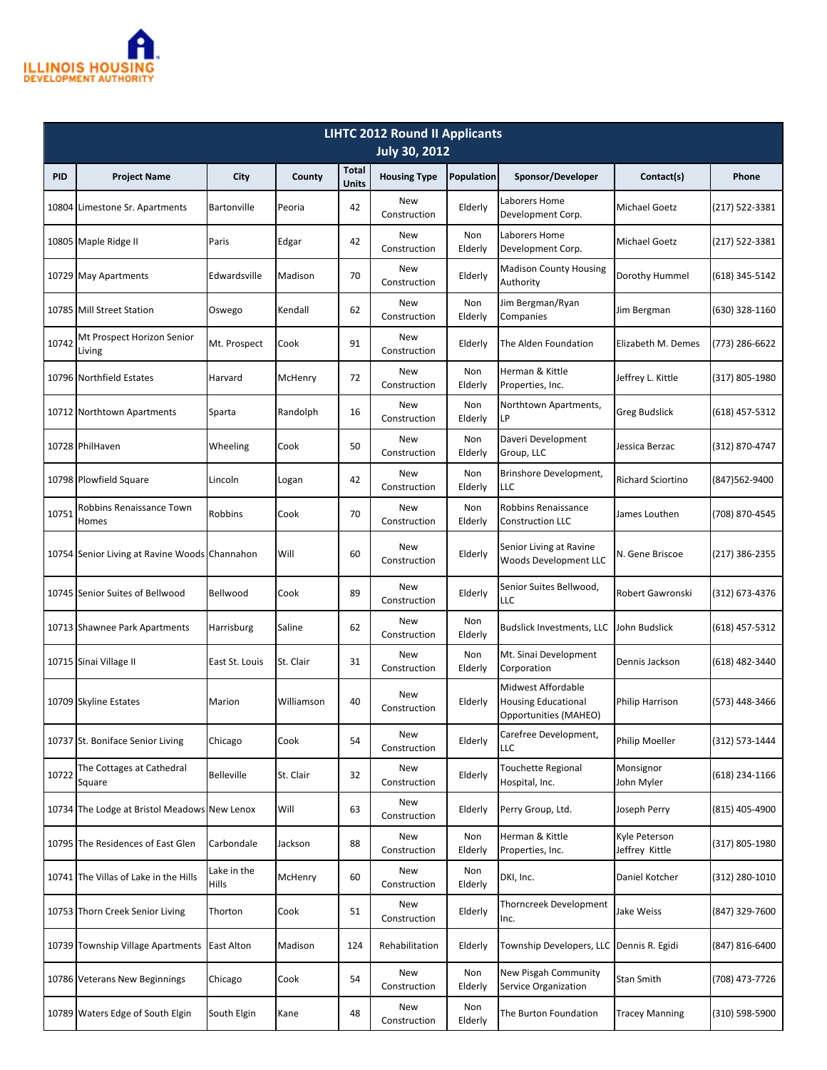

| <b>LIHTC 2012 Round II Applicants</b><br><b>July 30, 2012</b> |                                               |                      |            |                              |                            |                |                                                                           |                                 |                |  |
|---------------------------------------------------------------|-----------------------------------------------|----------------------|------------|------------------------------|----------------------------|----------------|---------------------------------------------------------------------------|---------------------------------|----------------|--|
| <b>PID</b>                                                    | <b>Project Name</b>                           | City                 | County     | <b>Total</b><br><b>Units</b> | <b>Housing Type</b>        | Population     | Sponsor/Developer                                                         | Contact(s)                      | Phone          |  |
|                                                               | 10804 Limestone Sr. Apartments                | Bartonville          | Peoria     | 42                           | New<br>Construction        | Elderly        | Laborers Home<br>Development Corp.                                        | Michael Goetz                   | (217) 522-3381 |  |
|                                                               | 10805 Maple Ridge II                          | Paris                | Edgar      | 42                           | New<br>Construction        | Non<br>Elderly | Laborers Home<br>Development Corp.                                        | <b>Michael Goetz</b>            | (217) 522-3381 |  |
|                                                               | 10729 May Apartments                          | Edwardsville         | Madison    | 70                           | New<br>Construction        | Elderly        | <b>Madison County Housing</b><br>Authority                                | Dorothy Hummel                  | (618) 345-5142 |  |
|                                                               | 10785 Mill Street Station                     | Oswego               | Kendall    | 62                           | <b>New</b><br>Construction | Non<br>Elderly | Jim Bergman/Ryan<br>Companies                                             | Jim Bergman                     | (630) 328-1160 |  |
| 10742                                                         | Mt Prospect Horizon Senior<br>Living          | Mt. Prospect         | Cook       | 91                           | <b>New</b><br>Construction | Elderly        | The Alden Foundation                                                      | Elizabeth M. Demes              | (773) 286-6622 |  |
|                                                               | 10796 Northfield Estates                      | Harvard              | McHenry    | 72                           | <b>New</b><br>Construction | Non<br>Elderly | Herman & Kittle<br>Properties, Inc.                                       | Jeffrey L. Kittle               | (317) 805-1980 |  |
|                                                               | 10712 Northtown Apartments                    | Sparta               | Randolph   | 16                           | <b>New</b><br>Construction | Non<br>Elderly | Northtown Apartments,<br>LP                                               | <b>Greg Budslick</b>            | (618) 457-5312 |  |
|                                                               | 10728 PhilHaven                               | Wheeling             | Cook       | 50                           | <b>New</b><br>Construction | Non<br>Elderly | Daveri Development<br>Group, LLC                                          | Jessica Berzac                  | (312) 870-4747 |  |
|                                                               | 10798 Plowfield Square                        | Lincoln              | Logan      | 42                           | <b>New</b><br>Construction | Non<br>Elderly | Brinshore Development,<br>LLC                                             | <b>Richard Sciortino</b>        | (847)562-9400  |  |
| 10751                                                         | Robbins Renaissance Town<br>Homes             | Robbins              | Cook       | 70                           | <b>New</b><br>Construction | Non<br>Elderly | Robbins Renaissance<br><b>Construction LLC</b>                            | James Louthen                   | (708) 870-4545 |  |
|                                                               | 10754 Senior Living at Ravine Woods Channahon |                      | Will       | 60                           | New<br>Construction        | Elderly        | Senior Living at Ravine<br><b>Woods Development LLC</b>                   | N. Gene Briscoe                 | (217) 386-2355 |  |
|                                                               | 10745 Senior Suites of Bellwood               | Bellwood             | Cook       | 89                           | <b>New</b><br>Construction | Elderly        | Senior Suites Bellwood,<br>LLC                                            | Robert Gawronski                | (312) 673-4376 |  |
|                                                               | 10713 Shawnee Park Apartments                 | Harrisburg           | Saline     | 62                           | <b>New</b><br>Construction | Non<br>Elderly | <b>Budslick Investments, LLC</b>                                          | John Budslick                   | (618) 457-5312 |  |
|                                                               | 10715 Sinai Village II                        | East St. Louis       | St. Clair  | 31                           | <b>New</b><br>Construction | Non<br>Elderly | Mt. Sinai Development<br>Corporation                                      | Dennis Jackson                  | (618) 482-3440 |  |
|                                                               | 10709 Skyline Estates                         | Marion               | Williamson | 40                           | New<br>Construction        | Elderly        | Midwest Affordable<br><b>Housing Educational</b><br>Opportunities (MAHEO) | Philip Harrison                 | (573) 448-3466 |  |
|                                                               | 10737 St. Boniface Senior Living              | Chicago              | Cook       | 54                           | <b>New</b><br>Construction | Elderly        | Carefree Development,<br>LLC                                              | Philip Moeller                  | (312) 573-1444 |  |
| 10722                                                         | The Cottages at Cathedral<br>Square           | Belleville           | St. Clair  | 32                           | New<br>Construction        | Elderly        | <b>Touchette Regional</b><br>Hospital, Inc.                               | Monsignor<br>John Myler         | (618) 234-1166 |  |
|                                                               | 10734 The Lodge at Bristol Meadows New Lenox  |                      | Will       | 63                           | New<br>Construction        | Elderly        | Perry Group, Ltd.                                                         | Joseph Perry                    | (815) 405-4900 |  |
|                                                               | 10795 The Residences of East Glen             | Carbondale           | Jackson    | 88                           | New<br>Construction        | Non<br>Elderly | Herman & Kittle<br>Properties, Inc.                                       | Kyle Peterson<br>Jeffrey Kittle | (317) 805-1980 |  |
|                                                               | 10741 The Villas of Lake in the Hills         | Lake in the<br>Hills | McHenry    | 60                           | New<br>Construction        | Non<br>Elderly | DKI, Inc.                                                                 | Daniel Kotcher                  | (312) 280-1010 |  |
|                                                               | 10753 Thorn Creek Senior Living               | Thorton              | Cook       | 51                           | New<br>Construction        | Elderly        | Thorncreek Development<br>Inc.                                            | Jake Weiss                      | (847) 329-7600 |  |
|                                                               | 10739 Township Village Apartments             | <b>East Alton</b>    | Madison    | 124                          | Rehabilitation             | Elderly        | Township Developers, LLC                                                  | Dennis R. Egidi                 | (847) 816-6400 |  |
|                                                               | 10786 Veterans New Beginnings                 | Chicago              | Cook       | 54                           | New<br>Construction        | Non<br>Elderly | New Pisgah Community<br>Service Organization                              | Stan Smith                      | (708) 473-7726 |  |
|                                                               | 10789 Waters Edge of South Elgin              | South Elgin          | Kane       | 48                           | New<br>Construction        | Non<br>Elderly | The Burton Foundation                                                     | Tracey Manning                  | (310) 598-5900 |  |